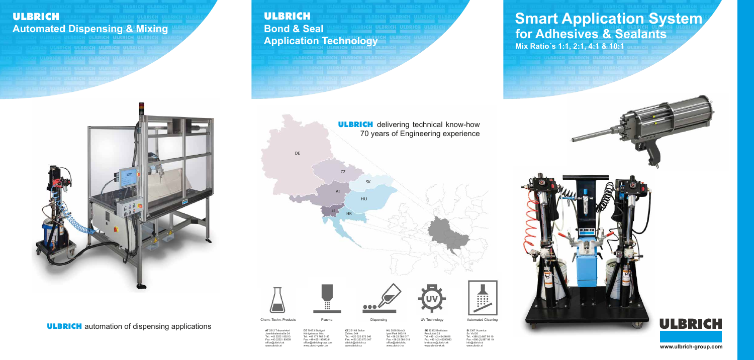**www.ulbrich-group.com**

**DE** 70173 Stuttgar Königstrasse 10 c  $+49$  171 762 918 Fax: +49 4551 9697331 office@ulbrich-group.com www.ulbrich-gmbh.de

**HII 2038 Sóskú**  Ipari Park 063/19 Tel: +36 23 560 017 Fax: +36 23 560 018 office@ulbrich.hu www.ulbrich.hu

 **AT** 2512 Tribuswinkel fsthalerstraße 34  $: +43$  2252 / 80213 ax: +43 2252 / 8065 office@ulbrich.at www.ulbrich.at

**SK 82362 Bratislav**  Revolučná 23 Tel: +421 (2) 43424016 Fax: +421 (2) 43295983 bratislava@ulbrich.sk www.ulbrich-sk.sk

 **CZ** 251 68 Sulice elivec 344 Tel.: +420 323 673 046 Fax: +420 323 673 047 ulbrich@ulbrich.cz www.ulbrich.cz



**ULBRICH** automation of dispensing applications







 **SI** 2367 Vuzenica Sv. Vid 26 Tel.: +386 (2) 887 99 10 Fax: +386 (2) 887 99 19 nfo@ulbrich.s www.ulbrich.si

# ULBRICH **Bond & Seal Application Technology**

# **Smart Application System for Adhesives & Sealants Mix Ratio´s 1:1, 2:1, 4:1 & 10:1**







# ULBRICH **Automated Dispensing & Mixing**